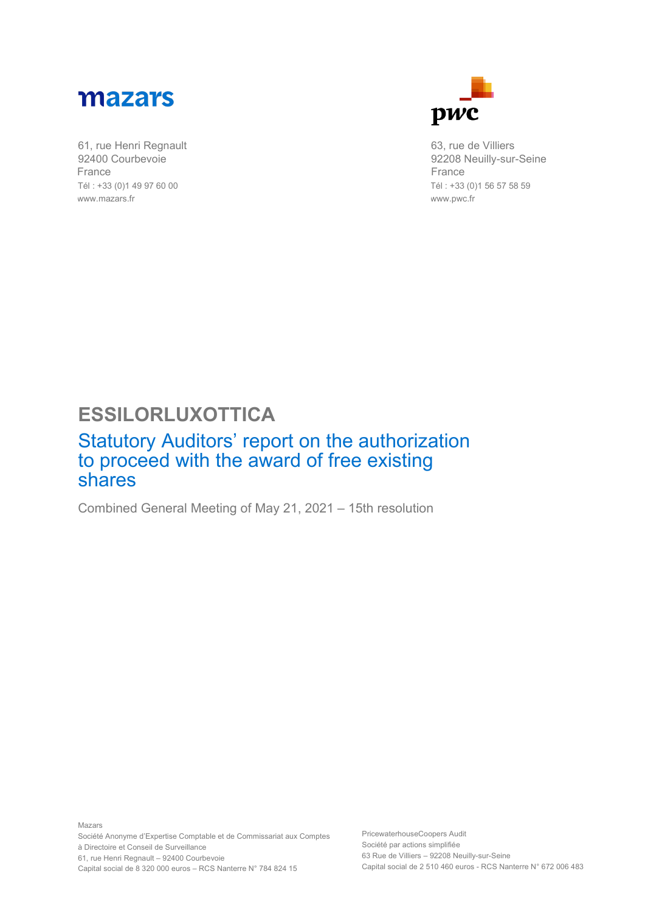

61, rue Henri Regnault 92400 Courbevoie France Tél : +33 (0)1 49 97 60 00 www.mazars.fr



63, rue de Villiers 92208 Neuilly-sur-Seine France Tél : +33 (0)1 56 57 58 59 www.pwc.fr

## **ESSILORLUXOTTICA**

## Statutory Auditors' report on the authorization to proceed with the award of free existing shares

Combined General Meeting of May 21, 2021 – 15th resolution

Mazars Société Anonyme d'Expertise Comptable et de Commissariat aux Comptes à Directoire et Conseil de Surveillance 61, rue Henri Regnault – 92400 Courbevoie Capital social de 8 320 000 euros – RCS Nanterre N° 784 824 15

PricewaterhouseCoopers Audit Société par actions simplifiée 63 Rue de Villiers – 92208 Neuilly-sur-Seine Capital social de 2 510 460 euros - RCS Nanterre N° 672 006 483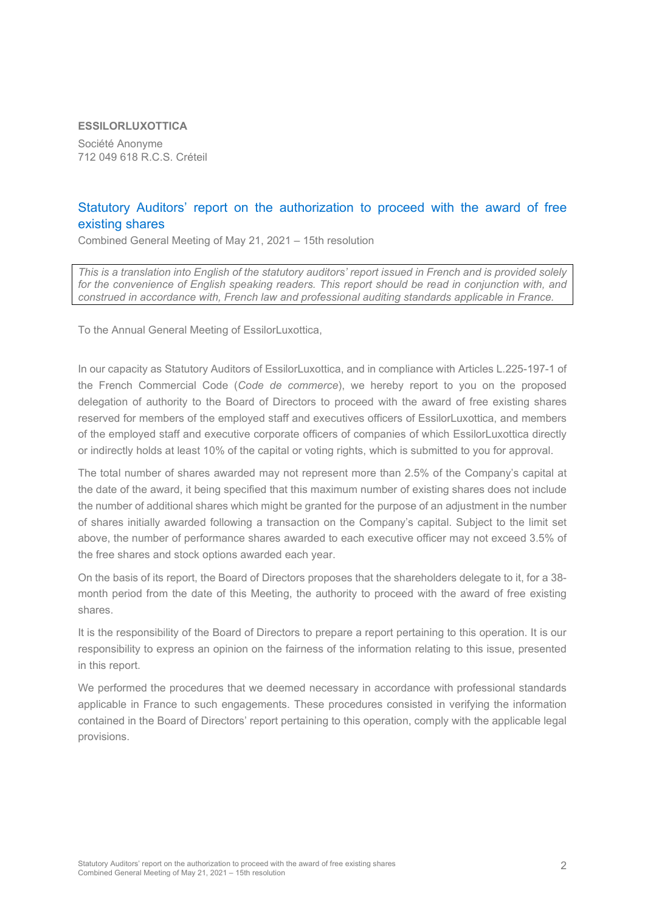## **ESSILORLUXOTTICA**

Société Anonyme 712 049 618 R.C.S. Créteil

## Statutory Auditors' report on the authorization to proceed with the award of free existing shares

Combined General Meeting of May 21, 2021 – 15th resolution

*This is a translation into English of the statutory auditors' report issued in French and is provided solely*  for the convenience of English speaking readers. This report should be read in conjunction with, and *construed in accordance with, French law and professional auditing standards applicable in France.*

To the Annual General Meeting of EssilorLuxottica,

In our capacity as Statutory Auditors of EssilorLuxottica, and in compliance with Articles L.225-197-1 of the French Commercial Code (*Code de commerce*), we hereby report to you on the proposed delegation of authority to the Board of Directors to proceed with the award of free existing shares reserved for members of the employed staff and executives officers of EssilorLuxottica, and members of the employed staff and executive corporate officers of companies of which EssilorLuxottica directly or indirectly holds at least 10% of the capital or voting rights, which is submitted to you for approval.

The total number of shares awarded may not represent more than 2.5% of the Company's capital at the date of the award, it being specified that this maximum number of existing shares does not include the number of additional shares which might be granted for the purpose of an adjustment in the number of shares initially awarded following a transaction on the Company's capital. Subject to the limit set above, the number of performance shares awarded to each executive officer may not exceed 3.5% of the free shares and stock options awarded each year.

On the basis of its report, the Board of Directors proposes that the shareholders delegate to it, for a 38 month period from the date of this Meeting, the authority to proceed with the award of free existing shares.

It is the responsibility of the Board of Directors to prepare a report pertaining to this operation. It is our responsibility to express an opinion on the fairness of the information relating to this issue, presented in this report.

We performed the procedures that we deemed necessary in accordance with professional standards applicable in France to such engagements. These procedures consisted in verifying the information contained in the Board of Directors' report pertaining to this operation, comply with the applicable legal provisions.